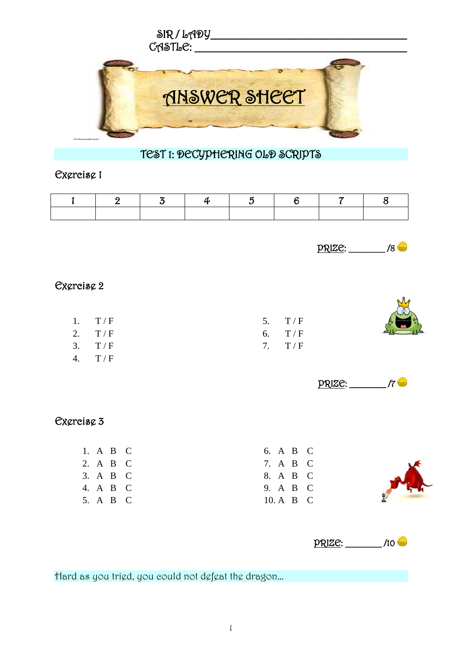

# TEST 1: DECYPHERING OLD SCRIPTS

#### Exercise 1

| $\mathbf{1}$                       | $\overline{2}$                                                                                                            | $\overline{3}$ | $\boldsymbol{4}$ | $\overline{5}$ | $6\phantom{1}6$                                                                                               | $\overline{\mathcal{C}}$ | $\mathbf 8$ |  |
|------------------------------------|---------------------------------------------------------------------------------------------------------------------------|----------------|------------------|----------------|---------------------------------------------------------------------------------------------------------------|--------------------------|-------------|--|
|                                    |                                                                                                                           |                |                  |                |                                                                                                               |                          |             |  |
|                                    |                                                                                                                           |                |                  |                |                                                                                                               | <u> PRIZE:</u>           | $\sqrt{8}$  |  |
| Exgreisg 2                         |                                                                                                                           |                |                  |                |                                                                                                               |                          |             |  |
| 1.<br>2.<br>3.<br>$\overline{4}$ . | $\rm T$ / $\rm F$<br>$\rm T$ / $\rm F$<br>$\mathcal{T}\,/\,\mathcal{F}$<br>$\rm T$ / $\rm F$                              |                |                  | 5.<br>6.<br>7. | $\rm T$ / $\rm F$<br>$\rm T$ / $\rm F$<br>$\rm T$ / $\rm F$                                                   |                          |             |  |
|                                    |                                                                                                                           |                |                  |                |                                                                                                               | prize:                   | $\sqrt{7}$  |  |
| Exgreisg 3                         |                                                                                                                           |                |                  |                |                                                                                                               |                          |             |  |
|                                    | 1. A B<br>$\mathbf C$<br>2. A B<br>$\mathbf C$<br>3. A B<br>$\mathbf C$<br>4. A B<br>$\mathbf C$<br>5. A B<br>$\mathbf C$ |                |                  |                | 6. A B C<br>7. A B<br>$\mathbf C$<br>8. A B<br>$\mathbf C$<br>9. A B<br>$\mathbf C$<br>10. A B<br>$\mathbf C$ |                          |             |  |
|                                    |                                                                                                                           |                |                  |                |                                                                                                               | <b>PRIZE:</b>            | /10         |  |

Hard as you tried, you could not defeat the dragon…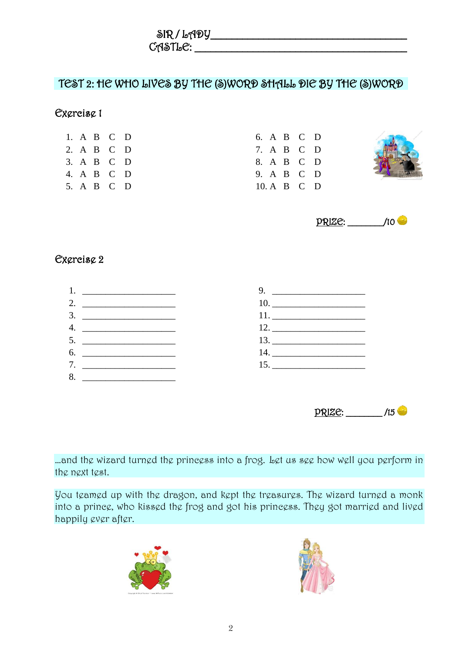$\delta$ R / LADY  $C$ ASTL $C$ :  $C$ 

### TEST 2: HE WHO LIVES BY THE (S)WORD SHALL DIE BY THE (S)WORD

#### Exercise 1

|  | 1. A B C D |  |
|--|------------|--|
|  | 2. A B C D |  |
|  | 3. A B C D |  |
|  | 4. A B C D |  |
|  | 5. A B C D |  |

|  | 6. A B C D  |  |
|--|-------------|--|
|  | 7. A B C D  |  |
|  | 8. A B C D  |  |
|  | 9. A B C D  |  |
|  | 10. A B C D |  |





### Exercise 2



PRIZE: \_\_\_\_\_\_\_\_ /15

...and the wizard turned the princess into a frog. Let us see how well you perform in the next test.

You teamed up with the dragon, and kept the treasures. The wizard turned a monk into a prince, who kissed the frog and got his princess. They got married and lived happily ever after.